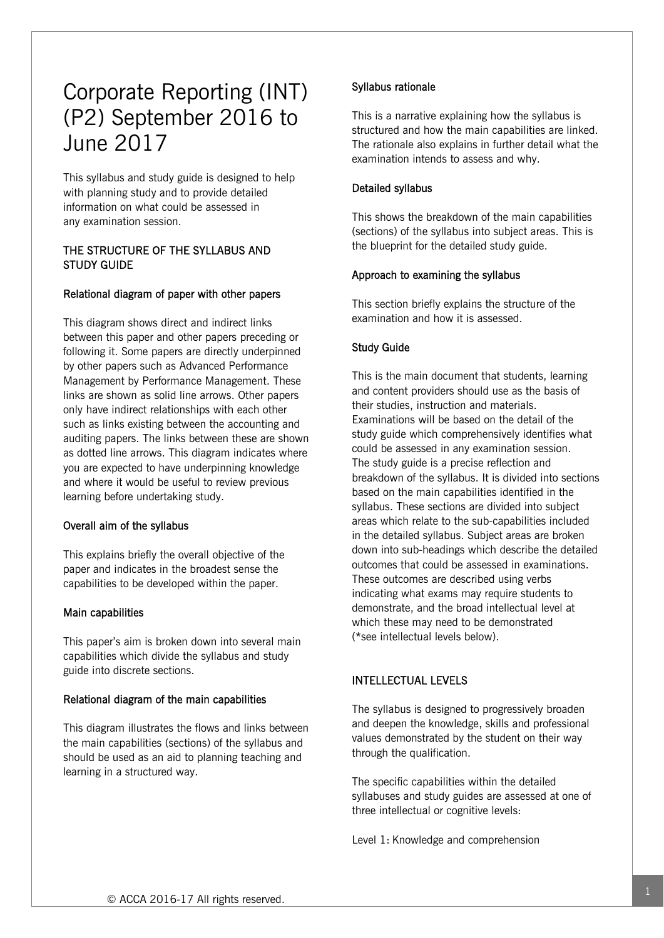# Corporate Reporting (INT) (P2) September 2016 to June 2017

This syllabus and study guide is designed to help with planning study and to provide detailed information on what could be assessed in any examination session.

## THE STRUCTURE OF THE SYLLABUS AND STUDY GUIDE

#### Relational diagram of paper with other papers

This diagram shows direct and indirect links between this paper and other papers preceding or following it. Some papers are directly underpinned by other papers such as Advanced Performance Management by Performance Management. These links are shown as solid line arrows. Other papers only have indirect relationships with each other such as links existing between the accounting and auditing papers. The links between these are shown as dotted line arrows. This diagram indicates where you are expected to have underpinning knowledge and where it would be useful to review previous learning before undertaking study.

#### Overall aim of the syllabus

This explains briefly the overall objective of the paper and indicates in the broadest sense the capabilities to be developed within the paper.

#### Main capabilities

This paper's aim is broken down into several main capabilities which divide the syllabus and study guide into discrete sections.

#### Relational diagram of the main capabilities

This diagram illustrates the flows and links between the main capabilities (sections) of the syllabus and should be used as an aid to planning teaching and learning in a structured way.

## Syllabus rationale

This is a narrative explaining how the syllabus is structured and how the main capabilities are linked. The rationale also explains in further detail what the examination intends to assess and why.

## Detailed syllabus

This shows the breakdown of the main capabilities (sections) of the syllabus into subject areas. This is the blueprint for the detailed study guide.

## Approach to examining the syllabus

This section briefly explains the structure of the examination and how it is assessed.

## Study Guide

This is the main document that students, learning and content providers should use as the basis of their studies, instruction and materials. Examinations will be based on the detail of the study guide which comprehensively identifies what could be assessed in any examination session. The study guide is a precise reflection and breakdown of the syllabus. It is divided into sections based on the main capabilities identified in the syllabus. These sections are divided into subject areas which relate to the sub-capabilities included in the detailed syllabus. Subject areas are broken down into sub-headings which describe the detailed outcomes that could be assessed in examinations. These outcomes are described using verbs indicating what exams may require students to demonstrate, and the broad intellectual level at which these may need to be demonstrated (\*see intellectual levels below).

## INTELLECTUAL LEVELS

The syllabus is designed to progressively broaden and deepen the knowledge, skills and professional values demonstrated by the student on their way through the qualification.

The specific capabilities within the detailed syllabuses and study guides are assessed at one of three intellectual or cognitive levels:

Level 1: Knowledge and comprehension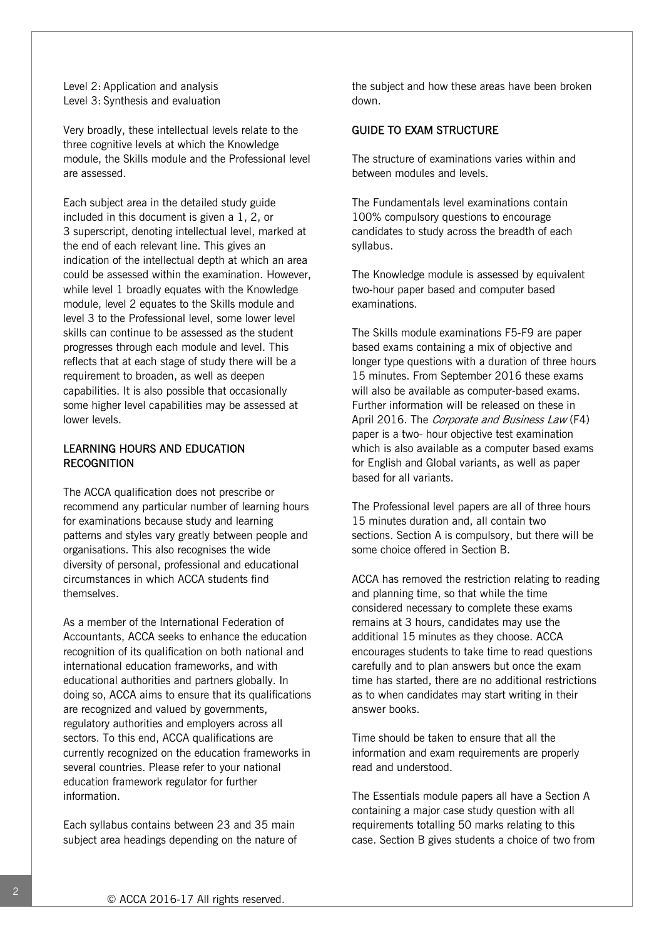Level 2: Application and analysis Level 3: Synthesis and evaluation

Very broadly, these intellectual levels relate to the three cognitive levels at which the Knowledge module, the Skills module and the Professional level are assessed.

Each subject area in the detailed study guide included in this document is given a 1, 2, or 3 superscript, denoting intellectual level, marked at the end of each relevant line. This gives an indication of the intellectual depth at which an area could be assessed within the examination. However, while level 1 broadly equates with the Knowledge module, level 2 equates to the Skills module and level 3 to the Professional level, some lower level skills can continue to be assessed as the student progresses through each module and level. This reflects that at each stage of study there will be a requirement to broaden, as well as deepen capabilities. It is also possible that occasionally some higher level capabilities may be assessed at lower levels.

## LEARNING HOURS AND EDUCATION **RECOGNITION**

The ACCA qualification does not prescribe or recommend any particular number of learning hours for examinations because study and learning patterns and styles vary greatly between people and organisations. This also recognises the wide diversity of personal, professional and educational circumstances in which ACCA students find themselves.

As a member of the International Federation of Accountants, ACCA seeks to enhance the education recognition of its qualification on both national and international education frameworks, and with educational authorities and partners globally. In doing so, ACCA aims to ensure that its qualifications are recognized and valued by governments, regulatory authorities and employers across all sectors. To this end, ACCA qualifications are currently recognized on the education frameworks in several countries. Please refer to your national education framework regulator for further information.

Each syllabus contains between 23 and 35 main subject area headings depending on the nature of the subject and how these areas have been broken down.

## GUIDE TO EXAM STRUCTURE

The structure of examinations varies within and between modules and levels.

The Fundamentals level examinations contain 100% compulsory questions to encourage candidates to study across the breadth of each syllabus.

The Knowledge module is assessed by equivalent two-hour paper based and computer based examinations.

The Skills module examinations F5-F9 are paper based exams containing a mix of objective and longer type questions with a duration of three hours 15 minutes. From September 2016 these exams will also be available as computer-based exams. Further information will be released on these in April 2016. The Corporate and Business Law (F4) paper is a two- hour objective test examination which is also available as a computer based exams for English and Global variants, as well as paper based for all variants.

The Professional level papers are all of three hours 15 minutes duration and, all contain two sections. Section A is compulsory, but there will be some choice offered in Section B.

ACCA has removed the restriction relating to reading and planning time, so that while the time considered necessary to complete these exams remains at 3 hours, candidates may use the additional 15 minutes as they choose. ACCA encourages students to take time to read questions carefully and to plan answers but once the exam time has started, there are no additional restrictions as to when candidates may start writing in their answer books.

Time should be taken to ensure that all the information and exam requirements are properly read and understood.

The Essentials module papers all have a Section A containing a major case study question with all requirements totalling 50 marks relating to this case. Section B gives students a choice of two from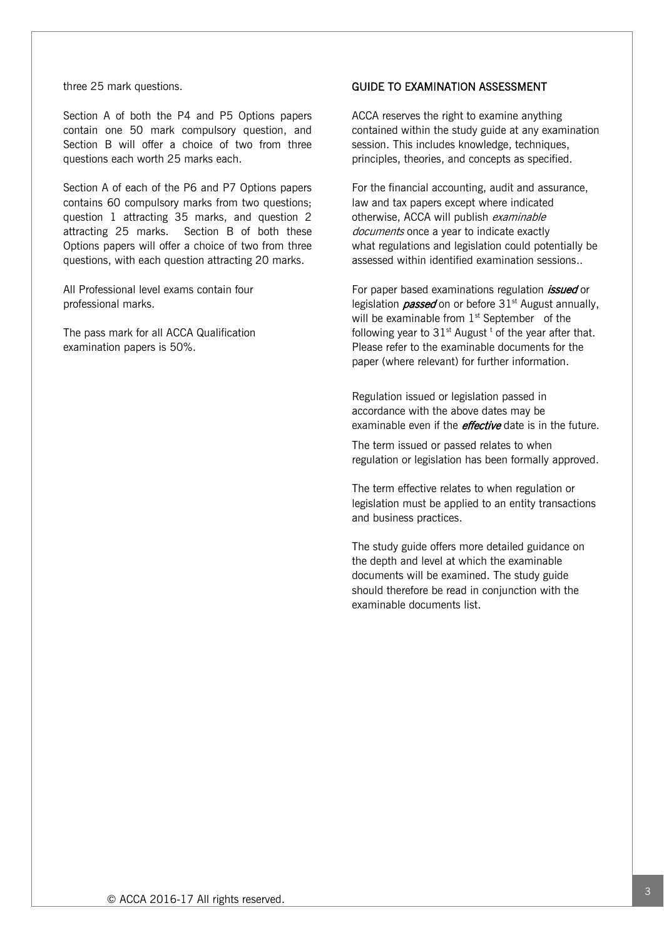three 25 mark questions.

Section A of both the P4 and P5 Options papers contain one 50 mark compulsory question, and Section B will offer a choice of two from three questions each worth 25 marks each.

Section A of each of the P6 and P7 Options papers contains 60 compulsory marks from two questions; question 1 attracting 35 marks, and question 2 attracting 25 marks. Section B of both these Options papers will offer a choice of two from three questions, with each question attracting 20 marks.

All Professional level exams contain four professional marks.

The pass mark for all ACCA Qualification examination papers is 50%.

## GUIDE TO EXAMINATION ASSESSMENT

ACCA reserves the right to examine anything contained within the study guide at any examination session. This includes knowledge, techniques, principles, theories, and concepts as specified.

For the financial accounting, audit and assurance, law and tax papers except where indicated otherwise, ACCA will publish examinable documents once a year to indicate exactly what regulations and legislation could potentially be assessed within identified examination sessions..

For paper based examinations regulation *issued* or legislation *passed* on or before  $31<sup>st</sup>$  August annually, will be examinable from  $1<sup>st</sup>$  September of the following year to  $31<sup>st</sup>$  August<sup>t</sup> of the year after that. Please refer to the examinable documents for the paper (where relevant) for further information.

Regulation issued or legislation passed in accordance with the above dates may be examinable even if the *effective* date is in the future.

The term issued or passed relates to when regulation or legislation has been formally approved.

The term effective relates to when regulation or legislation must be applied to an entity transactions and business practices.

The study guide offers more detailed guidance on the depth and level at which the examinable documents will be examined. The study guide should therefore be read in conjunction with the examinable documents list.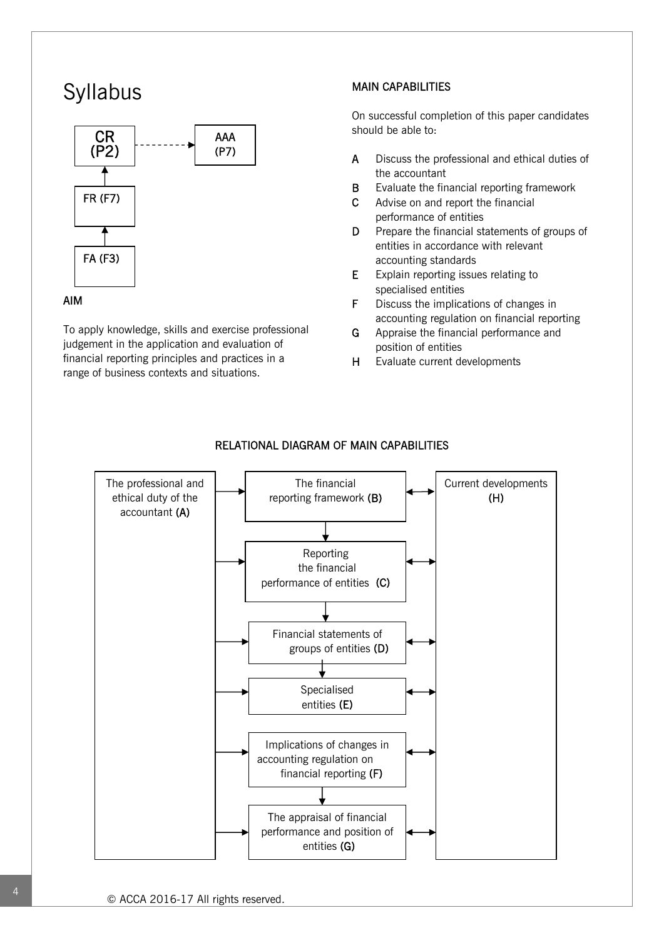# Syllabus



## AIM

To apply knowledge, skills and exercise professional judgement in the application and evaluation of financial reporting principles and practices in a range of business contexts and situations.

## MAIN CAPABILITIES

On successful completion of this paper candidates should be able to:

- A Discuss the professional and ethical duties of the accountant
- **B** Evaluate the financial reporting framework
- C Advise on and report the financial performance of entities
- D Prepare the financial statements of groups of entities in accordance with relevant accounting standards
- E Explain reporting issues relating to specialised entities
- F Discuss the implications of changes in accounting regulation on financial reporting
- G Appraise the financial performance and position of entities
- H Evaluate current developments



## RELATIONAL DIAGRAM OF MAIN CAPABILITIES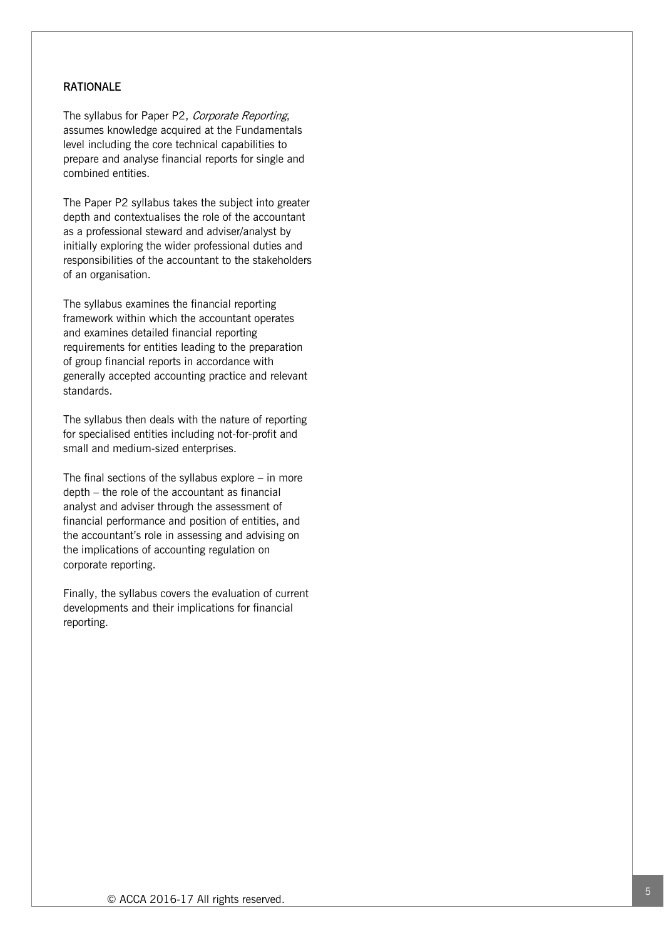## RATIONALE

The syllabus for Paper P2, Corporate Reporting, assumes knowledge acquired at the Fundamentals level including the core technical capabilities to prepare and analyse financial reports for single and combined entities.

The Paper P2 syllabus takes the subject into greater depth and contextualises the role of the accountant as a professional steward and adviser/analyst by initially exploring the wider professional duties and responsibilities of the accountant to the stakeholders of an organisation.

The syllabus examines the financial reporting framework within which the accountant operates and examines detailed financial reporting requirements for entities leading to the preparation of group financial reports in accordance with generally accepted accounting practice and relevant standards.

The syllabus then deals with the nature of reporting for specialised entities including not-for-profit and small and medium-sized enterprises.

The final sections of the syllabus explore  $-$  in more depth – the role of the accountant as financial analyst and adviser through the assessment of financial performance and position of entities, and the accountant's role in assessing and advising on the implications of accounting regulation on corporate reporting.

Finally, the syllabus covers the evaluation of current developments and their implications for financial reporting.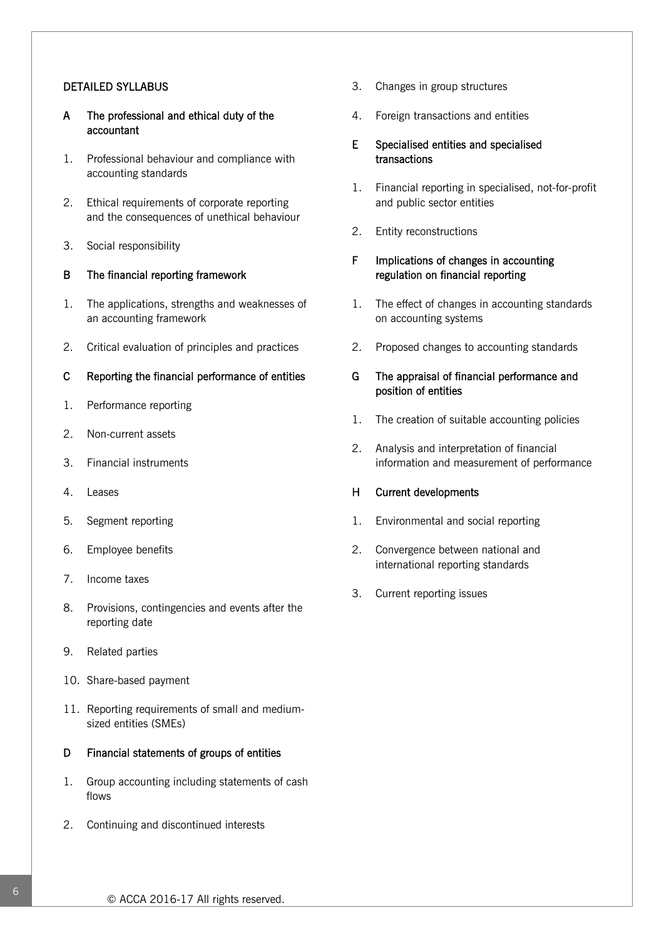#### DETAILED SYLLABUS

- A The professional and ethical duty of the accountant
- 1. Professional behaviour and compliance with accounting standards
- 2. Ethical requirements of corporate reporting and the consequences of unethical behaviour
- 3. Social responsibility

#### B The financial reporting framework

- 1. The applications, strengths and weaknesses of an accounting framework
- 2. Critical evaluation of principles and practices

## C Reporting the financial performance of entities

- 1. Performance reporting
- 2. Non-current assets
- 3. Financial instruments
- 4. Leases
- 5. Segment reporting
- 6. Employee benefits
- 7. Income taxes
- 8. Provisions, contingencies and events after the reporting date
- 9. Related parties
- 10. Share-based payment
- 11. Reporting requirements of small and medium sized entities (SMEs)

#### D Financial statements of groups of entities

- 1. Group accounting including statements of cash flows
- 2. Continuing and discontinued interests
- 3. Changes in group structures
- 4. Foreign transactions and entities
- E Specialised entities and specialised transactions
- 1. Financial reporting in specialised, not-for-profit and public sector entities
- 2. Entity reconstructions

## F Implications of changes in accounting regulation on financial reporting

- 1. The effect of changes in accounting standards on accounting systems
- 2. Proposed changes to accounting standards

## G The appraisal of financial performance and position of entities

- 1. The creation of suitable accounting policies
- 2. Analysis and interpretation of financial information and measurement of performance

## H Current developments

- 1. Environmental and social reporting
- 2. Convergence between national and international reporting standards
- 3. Current reporting issues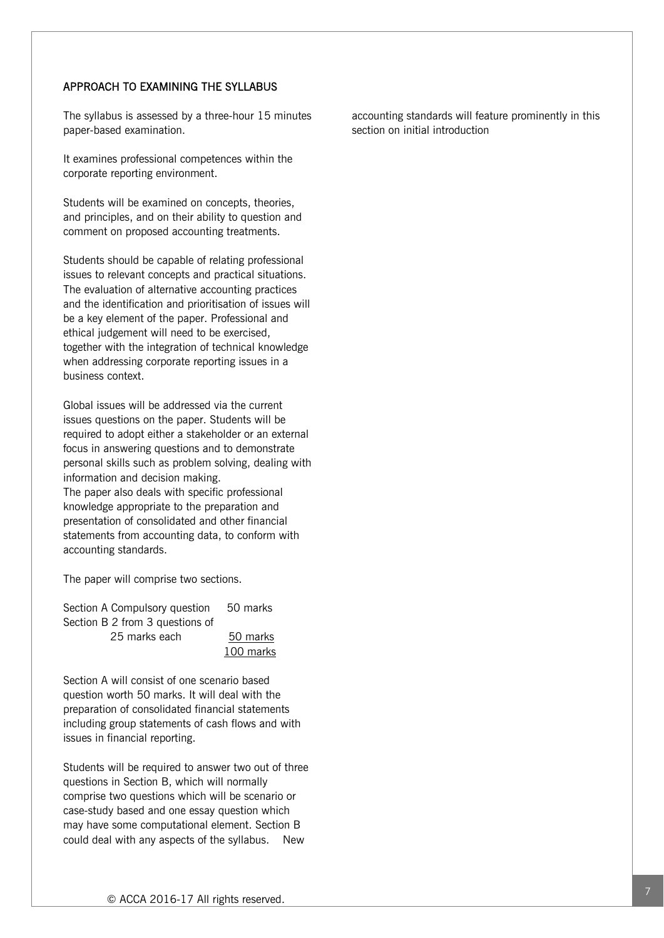### APPROACH TO EXAMINING THE SYLLABUS

The syllabus is assessed by a three-hour 15 minutes paper-based examination.

It examines professional competences within the corporate reporting environment.

Students will be examined on concepts, theories, and principles, and on their ability to question and comment on proposed accounting treatments.

Students should be capable of relating professional issues to relevant concepts and practical situations. The evaluation of alternative accounting practices and the identification and prioritisation of issues will be a key element of the paper. Professional and ethical judgement will need to be exercised, together with the integration of technical knowledge when addressing corporate reporting issues in a business context.

Global issues will be addressed via the current issues questions on the paper. Students will be required to adopt either a stakeholder or an external focus in answering questions and to demonstrate personal skills such as problem solving, dealing with information and decision making. The paper also deals with specific professional knowledge appropriate to the preparation and presentation of consolidated and other financial statements from accounting data, to conform with accounting standards.

The paper will comprise two sections.

| Section A Compulsory question   | 50 marks  |
|---------------------------------|-----------|
| Section B 2 from 3 questions of |           |
| 25 marks each                   | 50 marks  |
|                                 | 100 marks |

Section A will consist of one scenario based question worth 50 marks. It will deal with the preparation of consolidated financial statements including group statements of cash flows and with issues in financial reporting.

Students will be required to answer two out of three questions in Section B, which will normally comprise two questions which will be scenario or case-study based and one essay question which may have some computational element. Section B could deal with any aspects of the syllabus. New

accounting standards will feature prominently in this section on initial introduction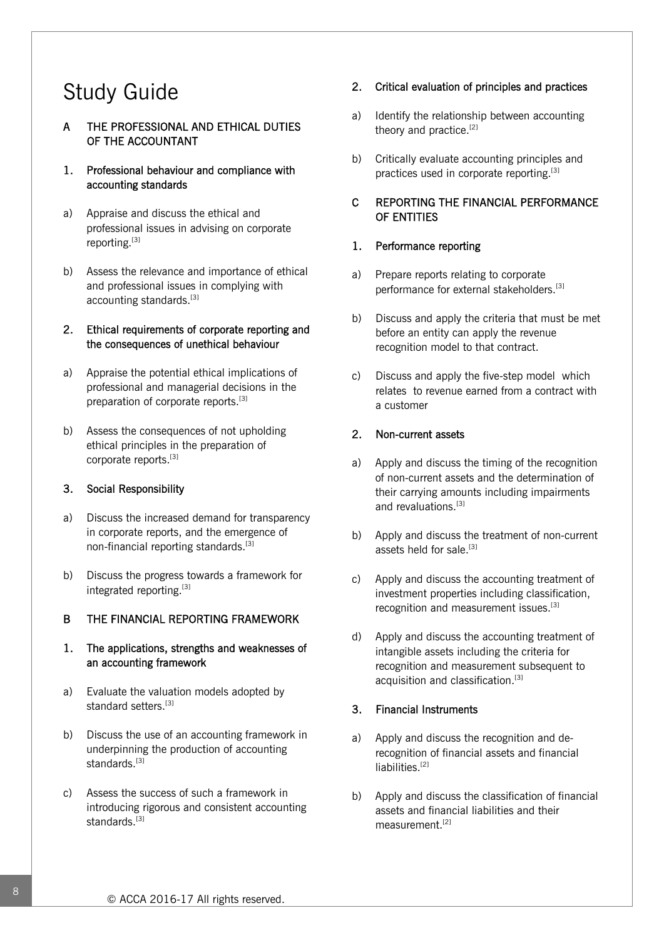# Study Guide

## A THE PROFESSIONAL AND ETHICAL DUTIES OF THE ACCOUNTANT

- 1. Professional behaviour and compliance with accounting standards
- a) Appraise and discuss the ethical and professional issues in advising on corporate reporting.<sup>[3]</sup>
- b) Assess the relevance and importance of ethical and professional issues in complying with accounting standards.<sup>[3]</sup>

## 2. Ethical requirements of corporate reporting and the consequences of unethical behaviour

- a) Appraise the potential ethical implications of professional and managerial decisions in the preparation of corporate reports.<sup>[3]</sup>
- b) Assess the consequences of not upholding ethical principles in the preparation of corporate reports.[3]

## 3. Social Responsibility

- a) Discuss the increased demand for transparency in corporate reports, and the emergence of non-financial reporting standards.[3]
- b) Discuss the progress towards a framework for integrated reporting.<sup>[3]</sup>

#### B THE FINANCIAL REPORTING FRAMEWORK

- 1. The applications, strengths and weaknesses of an accounting framework
- a) Evaluate the valuation models adopted by standard setters.<sup>[3]</sup>
- b) Discuss the use of an accounting framework in underpinning the production of accounting standards<sup>[3]</sup>
- c) Assess the success of such a framework in introducing rigorous and consistent accounting standards.<sup>[3]</sup>

## 2. Critical evaluation of principles and practices

- a) Identify the relationship between accounting theory and practice.<sup>[2]</sup>
- b) Critically evaluate accounting principles and practices used in corporate reporting.<sup>[3]</sup>
- C REPORTING THE FINANCIAL PERFORMANCE OF ENTITIES

#### 1. Performance reporting

- a) Prepare reports relating to corporate performance for external stakeholders.[3]
- b) Discuss and apply the criteria that must be met before an entity can apply the revenue recognition model to that contract.
- c) Discuss and apply the five-step model which relates to revenue earned from a contract with a customer

## 2. Non-current assets

- a) Apply and discuss the timing of the recognition of non-current assets and the determination of their carrying amounts including impairments and revaluations.<sup>[3]</sup>
- b) Apply and discuss the treatment of non-current assets held for sale.<sup>[3]</sup>
- c) Apply and discuss the accounting treatment of investment properties including classification, recognition and measurement issues.<sup>[3]</sup>
- d) Apply and discuss the accounting treatment of intangible assets including the criteria for recognition and measurement subsequent to acquisition and classification.<sup>[3]</sup>

#### 3. Financial Instruments

- a) Apply and discuss the recognition and derecognition of financial assets and financial liabilities<sup>[2]</sup>
- b) Apply and discuss the classification of financial assets and financial liabilities and their measurement.[2]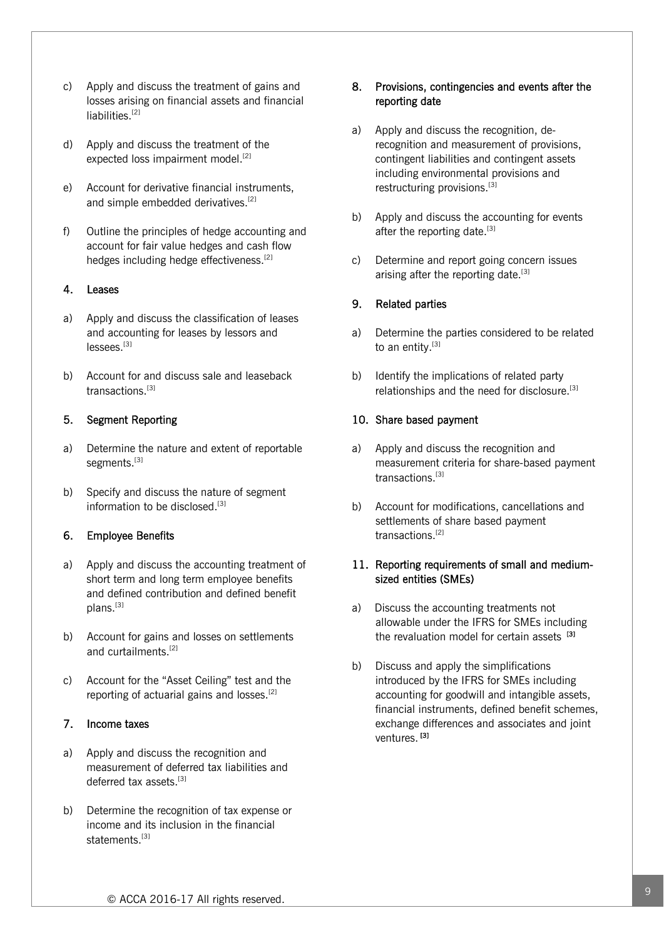- c) Apply and discuss the treatment of gains and losses arising on financial assets and financial liabilities.<sup>[2]</sup>
- d) Apply and discuss the treatment of the expected loss impairment model.<sup>[2]</sup>
- e) Account for derivative financial instruments, and simple embedded derivatives.<sup>[2]</sup>
- f) Outline the principles of hedge accounting and account for fair value hedges and cash flow hedges including hedge effectiveness.<sup>[2]</sup>

#### 4. Leases

- a) Apply and discuss the classification of leases and accounting for leases by lessors and lessees.<sup>[3]</sup>
- b) Account for and discuss sale and leaseback transactions.<sup>[3]</sup>

## 5. Segment Reporting

- a) Determine the nature and extent of reportable segments.<sup>[3]</sup>
- b) Specify and discuss the nature of segment information to be disclosed.<sup>[3]</sup>

## 6. Employee Benefits

- a) Apply and discuss the accounting treatment of short term and long term employee benefits and defined contribution and defined benefit plans.<sup>[3]</sup>
- b) Account for gains and losses on settlements and curtailments.<sup>[2]</sup>
- c) Account for the "Asset Ceiling" test and the reporting of actuarial gains and losses.<sup>[2]</sup>

## 7. Income taxes

- a) Apply and discuss the recognition and measurement of deferred tax liabilities and deferred tax assets.<sup>[3]</sup>
- b) Determine the recognition of tax expense or income and its inclusion in the financial statements.<sup>[3]</sup>

## 8. Provisions, contingencies and events after the reporting date

- a) Apply and discuss the recognition, derecognition and measurement of provisions, contingent liabilities and contingent assets including environmental provisions and restructuring provisions.<sup>[3]</sup>
- b) Apply and discuss the accounting for events after the reporting date.<sup>[3]</sup>
- c) Determine and report going concern issues arising after the reporting date.<sup>[3]</sup>

#### 9. Related parties

- a) Determine the parties considered to be related to an entity.<sup>[3]</sup>
- b) Identify the implications of related party relationships and the need for disclosure.<sup>[3]</sup>

#### 10. Share based payment

- a) Apply and discuss the recognition and measurement criteria for share-based payment transactions.<sup>[3]</sup>
- b) Account for modifications, cancellations and settlements of share based payment transactions.[2]

#### 11. Reporting requirements of small and mediumsized entities (SMEs)

- a) Discuss the accounting treatments not allowable under the IFRS for SMEs including the revaluation model for certain assets <sup>[3]</sup>
- b) Discuss and apply the simplifications introduced by the IFRS for SMEs including accounting for goodwill and intangible assets, financial instruments, defined benefit schemes, exchange differences and associates and joint ventures.<sup>[3]</sup>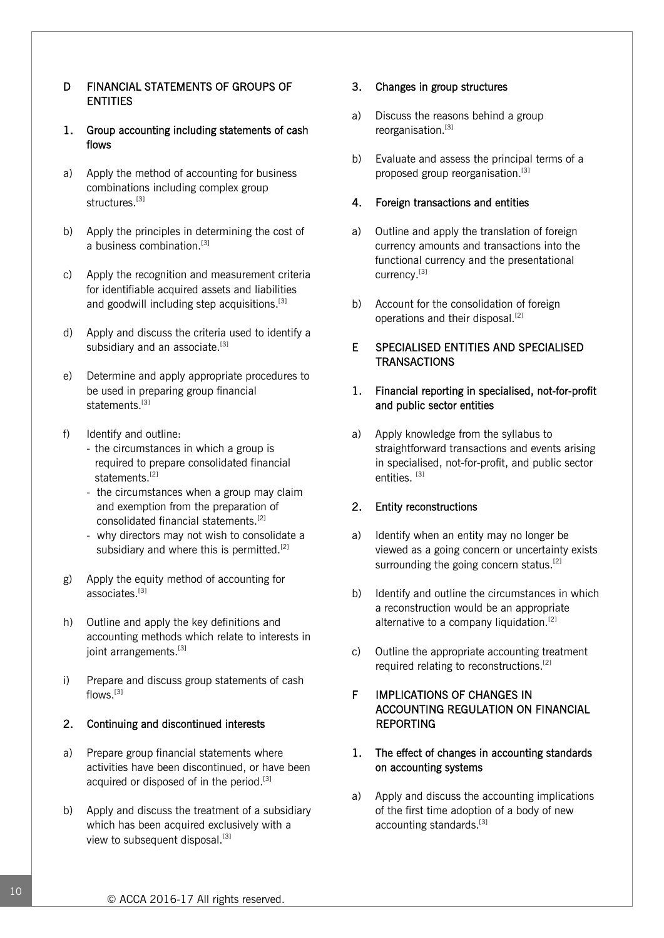#### D FINANCIAL STATEMENTS OF GROUPS OF **ENTITIES**

- 1. Group accounting including statements of cash flows
- a) Apply the method of accounting for business combinations including complex group structures.<sup>[3]</sup>
- b) Apply the principles in determining the cost of a business combination.<sup>[3]</sup>
- c) Apply the recognition and measurement criteria for identifiable acquired assets and liabilities and goodwill including step acquisitions.<sup>[3]</sup>
- d) Apply and discuss the criteria used to identify a subsidiary and an associate<sup>[3]</sup>
- e) Determine and apply appropriate procedures to be used in preparing group financial statements.<sup>[3]</sup>
- f) Identify and outline:
	- the circumstances in which a group is required to prepare consolidated financial statements.<sup>[2]</sup>
	- the circumstances when a group may claim and exemption from the preparation of consolidated financial statements.[2]
	- why directors may not wish to consolidate a subsidiary and where this is permitted.<sup>[2]</sup>
- g) Apply the equity method of accounting for  $ascociates<sup>[3]</sup>$
- h) Outline and apply the key definitions and accounting methods which relate to interests in joint arrangements.<sup>[3]</sup>
- i) Prepare and discuss group statements of cash flows.<sup>[3]</sup>

#### 2. Continuing and discontinued interests

- a) Prepare group financial statements where activities have been discontinued, or have been acquired or disposed of in the period.<sup>[3]</sup>
- b) Apply and discuss the treatment of a subsidiary which has been acquired exclusively with a view to subsequent disposal<sup>[3]</sup>

#### 3. Changes in group structures

- a) Discuss the reasons behind a group reorganisation.<sup>[3]</sup>
- b) Evaluate and assess the principal terms of a proposed group reorganisation.[3]

#### 4. Foreign transactions and entities

- a) Outline and apply the translation of foreign currency amounts and transactions into the functional currency and the presentational currency.<sup>[3]</sup>
- b) Account for the consolidation of foreign operations and their disposal.<sup>[2]</sup>

## E SPECIALISED ENTITIES AND SPECIALISED **TRANSACTIONS**

#### 1. Financial reporting in specialised, not-for-profit and public sector entities

a) Apply knowledge from the syllabus to straightforward transactions and events arising in specialised, not-for-profit, and public sector entities.<sup>[3]</sup>

#### 2. Entity reconstructions

- a) Identify when an entity may no longer be viewed as a going concern or uncertainty exists surrounding the going concern status.<sup>[2]</sup>
- b) Identify and outline the circumstances in which a reconstruction would be an appropriate alternative to a company liquidation.<sup>[2]</sup>
- c) Outline the appropriate accounting treatment required relating to reconstructions.[2]

## F IMPLICATIONS OF CHANGES IN ACCOUNTING REGULATION ON FINANCIAL REPORTING

#### 1. The effect of changes in accounting standards on accounting systems

a) Apply and discuss the accounting implications of the first time adoption of a body of new accounting standards.<sup>[3]</sup>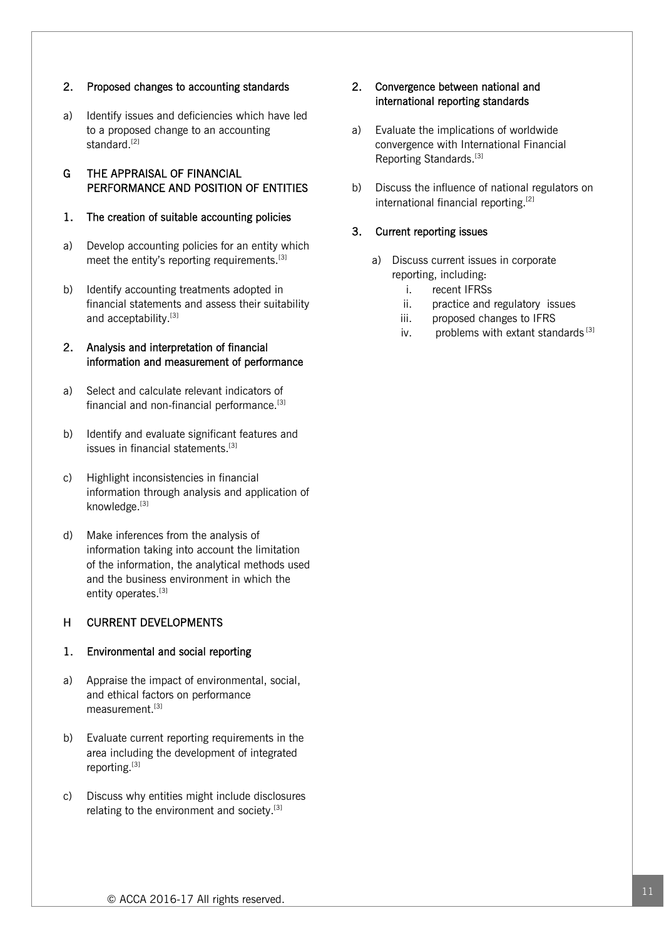#### 2. Proposed changes to accounting standards

a) Identify issues and deficiencies which have led to a proposed change to an accounting standard.<sup>[2]</sup>

## G THE APPRAISAL OF FINANCIAL PERFORMANCE AND POSITION OF ENTITIES

#### 1. The creation of suitable accounting policies

- a) Develop accounting policies for an entity which meet the entity's reporting requirements.<sup>[3]</sup>
- b) Identify accounting treatments adopted in financial statements and assess their suitability and acceptability.<sup>[3]</sup>

## 2. Analysis and interpretation of financial information and measurement of performance

- a) Select and calculate relevant indicators of financial and non-financial performance.<sup>[3]</sup>
- b) Identify and evaluate significant features and issues in financial statements.<sup>[3]</sup>
- c) Highlight inconsistencies in financial information through analysis and application of knowledge.<sup>[3]</sup>
- d) Make inferences from the analysis of information taking into account the limitation of the information, the analytical methods used and the business environment in which the entity operates.<sup>[3]</sup>

#### H CURRENT DEVELOPMENTS

#### 1. Environmental and social reporting

- a) Appraise the impact of environmental, social, and ethical factors on performance measurement.<sup>[3]</sup>
- b) Evaluate current reporting requirements in the area including the development of integrated reporting.<sup>[3]</sup>
- c) Discuss why entities might include disclosures relating to the environment and society.<sup>[3]</sup>

#### 2. Convergence between national and international reporting standards

- a) Evaluate the implications of worldwide convergence with International Financial Reporting Standards.<sup>[3]</sup>
- b) Discuss the influence of national regulators on international financial reporting.<sup>[2]</sup>

#### 3. Current reporting issues

- a) Discuss current issues in corporate reporting, including:
	- i. recent IFRSs
	- ii. practice and regulatory issues
	- iii. proposed changes to IFRS
	- iv. problems with extant standards  $[3]$